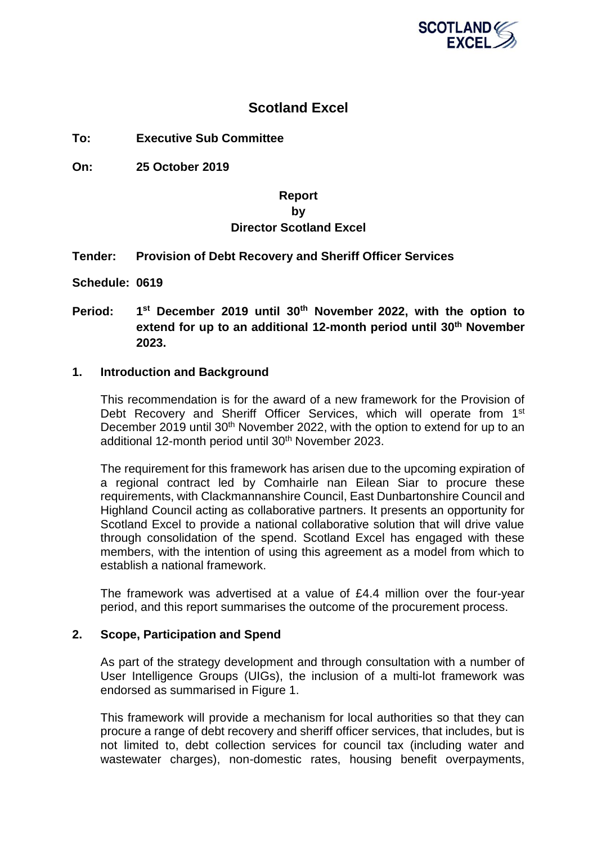

# **Scotland Excel**

**To: Executive Sub Committee**

**On: 25 October 2019**

# **Report by Director Scotland Excel**

# **Tender: Provision of Debt Recovery and Sheriff Officer Services**

**Schedule: 0619**

**Period: 1 st December 2019 until 30 th November 2022, with the option to extend for up to an additional 12-month period until 30 th November 2023.**

### **1. Introduction and Background**

This recommendation is for the award of a new framework for the Provision of Debt Recovery and Sheriff Officer Services, which will operate from 1<sup>st</sup> December 2019 until 30<sup>th</sup> November 2022, with the option to extend for up to an additional 12-month period until 30<sup>th</sup> November 2023.

The requirement for this framework has arisen due to the upcoming expiration of a regional contract led by Comhairle nan Eilean Siar to procure these requirements, with Clackmannanshire Council, East Dunbartonshire Council and Highland Council acting as collaborative partners. It presents an opportunity for Scotland Excel to provide a national collaborative solution that will drive value through consolidation of the spend. Scotland Excel has engaged with these members, with the intention of using this agreement as a model from which to establish a national framework.

The framework was advertised at a value of £4.4 million over the four-year period, and this report summarises the outcome of the procurement process.

# **2. Scope, Participation and Spend**

As part of the strategy development and through consultation with a number of User Intelligence Groups (UIGs), the inclusion of a multi-lot framework was endorsed as summarised in Figure 1.

This framework will provide a mechanism for local authorities so that they can procure a range of debt recovery and sheriff officer services, that includes, but is not limited to, debt collection services for council tax (including water and wastewater charges), non-domestic rates, housing benefit overpayments,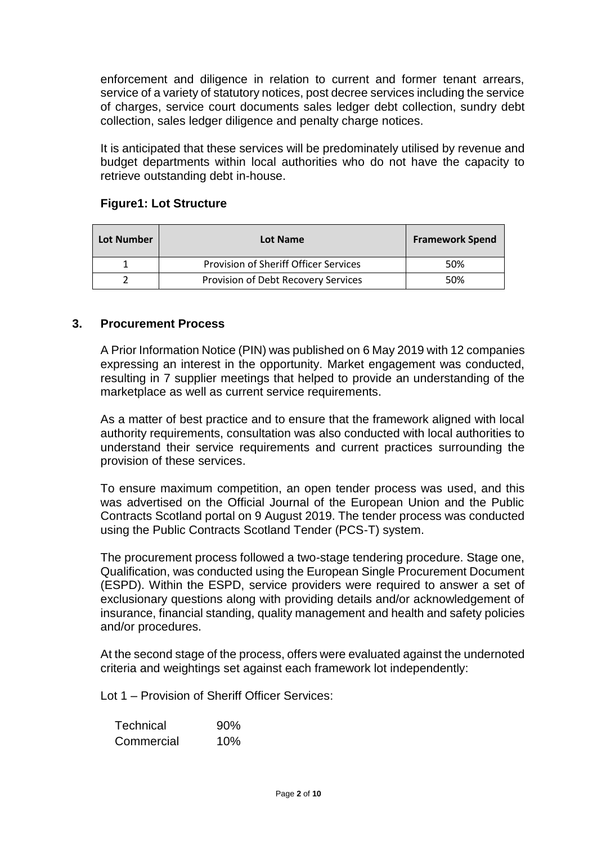enforcement and diligence in relation to current and former tenant arrears, service of a variety of statutory notices, post decree services including the service of charges, service court documents sales ledger debt collection, sundry debt collection, sales ledger diligence and penalty charge notices.

It is anticipated that these services will be predominately utilised by revenue and budget departments within local authorities who do not have the capacity to retrieve outstanding debt in-house.

| <b>Lot Number</b> | Lot Name                              | <b>Framework Spend</b> |
|-------------------|---------------------------------------|------------------------|
|                   | Provision of Sheriff Officer Services | 50%                    |
|                   | Provision of Debt Recovery Services   | 50%                    |

# **Figure1: Lot Structure**

# **3. Procurement Process**

A Prior Information Notice (PIN) was published on 6 May 2019 with 12 companies expressing an interest in the opportunity. Market engagement was conducted, resulting in 7 supplier meetings that helped to provide an understanding of the marketplace as well as current service requirements.

As a matter of best practice and to ensure that the framework aligned with local authority requirements, consultation was also conducted with local authorities to understand their service requirements and current practices surrounding the provision of these services.

To ensure maximum competition, an open tender process was used, and this was advertised on the Official Journal of the European Union and the Public Contracts Scotland portal on 9 August 2019. The tender process was conducted using the Public Contracts Scotland Tender (PCS-T) system.

The procurement process followed a two-stage tendering procedure. Stage one, Qualification, was conducted using the European Single Procurement Document (ESPD). Within the ESPD, service providers were required to answer a set of exclusionary questions along with providing details and/or acknowledgement of insurance, financial standing, quality management and health and safety policies and/or procedures.

At the second stage of the process, offers were evaluated against the undernoted criteria and weightings set against each framework lot independently:

Lot 1 – Provision of Sheriff Officer Services:

| <b>Technical</b> | 90% |
|------------------|-----|
| Commercial       | 10% |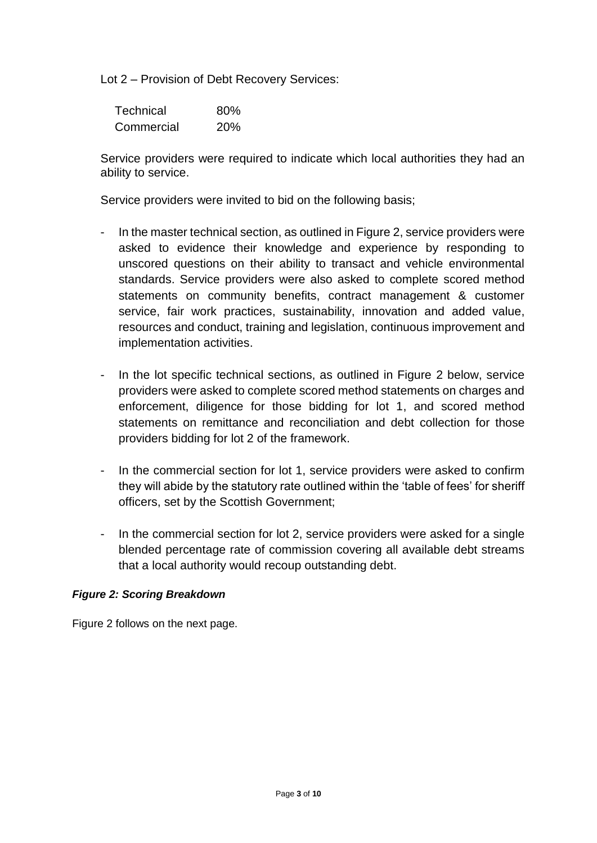Lot 2 – Provision of Debt Recovery Services:

| <b>Technical</b> | 80% |
|------------------|-----|
| Commercial       | 20% |

Service providers were required to indicate which local authorities they had an ability to service.

Service providers were invited to bid on the following basis;

- In the master technical section, as outlined in Figure 2, service providers were asked to evidence their knowledge and experience by responding to unscored questions on their ability to transact and vehicle environmental standards. Service providers were also asked to complete scored method statements on community benefits, contract management & customer service, fair work practices, sustainability, innovation and added value, resources and conduct, training and legislation, continuous improvement and implementation activities.
- In the lot specific technical sections, as outlined in Figure 2 below, service providers were asked to complete scored method statements on charges and enforcement, diligence for those bidding for lot 1, and scored method statements on remittance and reconciliation and debt collection for those providers bidding for lot 2 of the framework.
- In the commercial section for lot 1, service providers were asked to confirm they will abide by the statutory rate outlined within the 'table of fees' for sheriff officers, set by the Scottish Government;
- In the commercial section for lot 2, service providers were asked for a single blended percentage rate of commission covering all available debt streams that a local authority would recoup outstanding debt.

# *Figure 2: Scoring Breakdown*

Figure 2 follows on the next page.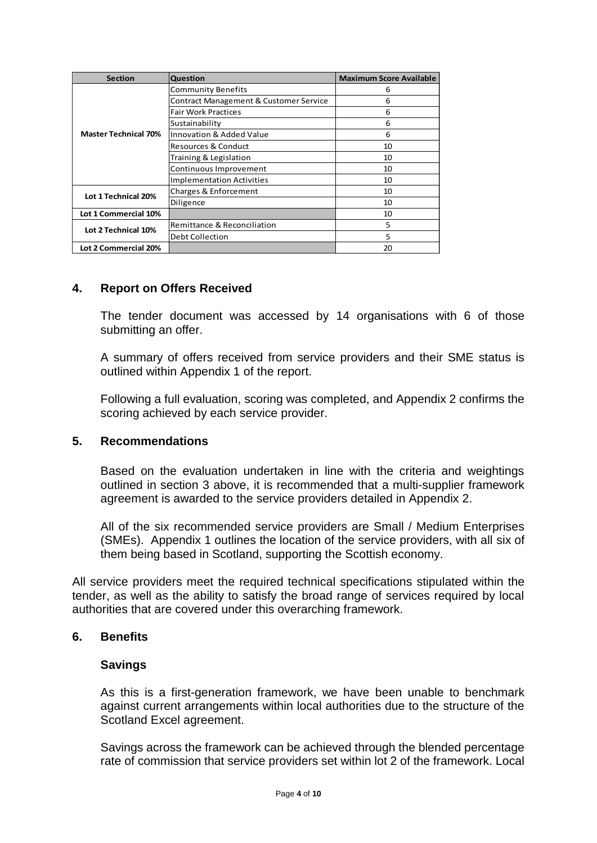| <b>Section</b>              | Question                               | <b>Maximum Score Available</b> |
|-----------------------------|----------------------------------------|--------------------------------|
|                             | <b>Community Benefits</b>              | 6                              |
|                             | Contract Management & Customer Service | 6                              |
|                             | <b>Fair Work Practices</b>             | 6                              |
|                             | Sustainability                         | 6                              |
| <b>Master Technical 70%</b> | Innovation & Added Value               | 6                              |
|                             | <b>Resources &amp; Conduct</b>         | 10                             |
|                             | Training & Legislation                 | 10                             |
|                             | Continuous Improvement                 | 10                             |
|                             | <b>Implementation Activities</b>       | 10                             |
| Lot 1 Technical 20%         | Charges & Enforcement                  | 10                             |
|                             | Diligence                              | 10                             |
| Lot 1 Commercial 10%        |                                        | 10                             |
| Lot 2 Technical 10%         | Remittance & Reconciliation            | 5                              |
|                             | Debt Collection                        | 5                              |
| Lot 2 Commercial 20%        |                                        | 20                             |

# **4. Report on Offers Received**

The tender document was accessed by 14 organisations with 6 of those submitting an offer.

A summary of offers received from service providers and their SME status is outlined within Appendix 1 of the report.

Following a full evaluation, scoring was completed, and Appendix 2 confirms the scoring achieved by each service provider.

### **5. Recommendations**

Based on the evaluation undertaken in line with the criteria and weightings outlined in section 3 above, it is recommended that a multi-supplier framework agreement is awarded to the service providers detailed in Appendix 2.

All of the six recommended service providers are Small / Medium Enterprises (SMEs). Appendix 1 outlines the location of the service providers, with all six of them being based in Scotland, supporting the Scottish economy.

All service providers meet the required technical specifications stipulated within the tender, as well as the ability to satisfy the broad range of services required by local authorities that are covered under this overarching framework.

### **6. Benefits**

### **Savings**

As this is a first-generation framework, we have been unable to benchmark against current arrangements within local authorities due to the structure of the Scotland Excel agreement.

Savings across the framework can be achieved through the blended percentage rate of commission that service providers set within lot 2 of the framework. Local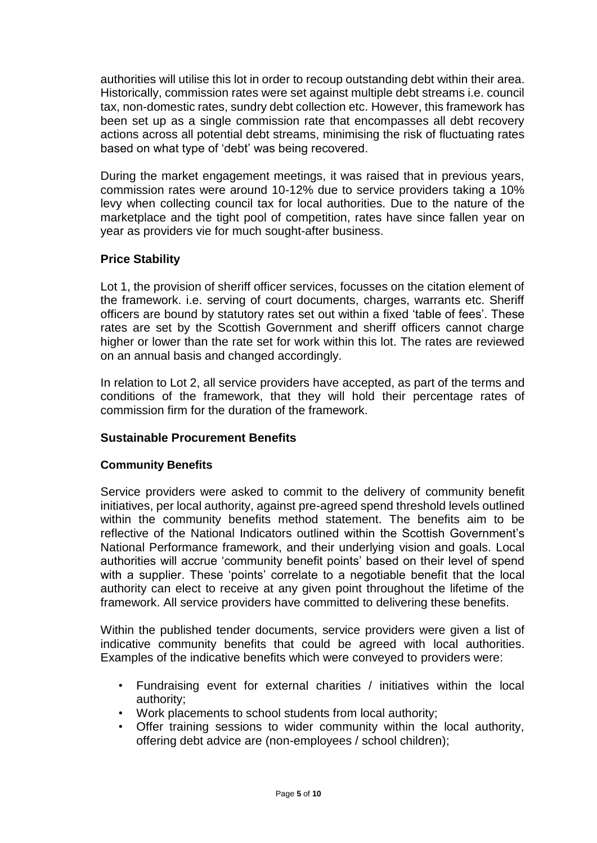authorities will utilise this lot in order to recoup outstanding debt within their area. Historically, commission rates were set against multiple debt streams i.e. council tax, non-domestic rates, sundry debt collection etc. However, this framework has been set up as a single commission rate that encompasses all debt recovery actions across all potential debt streams, minimising the risk of fluctuating rates based on what type of 'debt' was being recovered.

During the market engagement meetings, it was raised that in previous years, commission rates were around 10-12% due to service providers taking a 10% levy when collecting council tax for local authorities. Due to the nature of the marketplace and the tight pool of competition, rates have since fallen year on year as providers vie for much sought-after business.

# **Price Stability**

Lot 1, the provision of sheriff officer services, focusses on the citation element of the framework. i.e. serving of court documents, charges, warrants etc. Sheriff officers are bound by statutory rates set out within a fixed 'table of fees'. These rates are set by the Scottish Government and sheriff officers cannot charge higher or lower than the rate set for work within this lot. The rates are reviewed on an annual basis and changed accordingly.

In relation to Lot 2, all service providers have accepted, as part of the terms and conditions of the framework, that they will hold their percentage rates of commission firm for the duration of the framework.

# **Sustainable Procurement Benefits**

# **Community Benefits**

Service providers were asked to commit to the delivery of community benefit initiatives, per local authority, against pre-agreed spend threshold levels outlined within the community benefits method statement. The benefits aim to be reflective of the National Indicators outlined within the Scottish Government's National Performance framework, and their underlying vision and goals. Local authorities will accrue 'community benefit points' based on their level of spend with a supplier. These 'points' correlate to a negotiable benefit that the local authority can elect to receive at any given point throughout the lifetime of the framework. All service providers have committed to delivering these benefits.

Within the published tender documents, service providers were given a list of indicative community benefits that could be agreed with local authorities. Examples of the indicative benefits which were conveyed to providers were:

- Fundraising event for external charities / initiatives within the local authority;
- Work placements to school students from local authority;
- Offer training sessions to wider community within the local authority, offering debt advice are (non-employees / school children);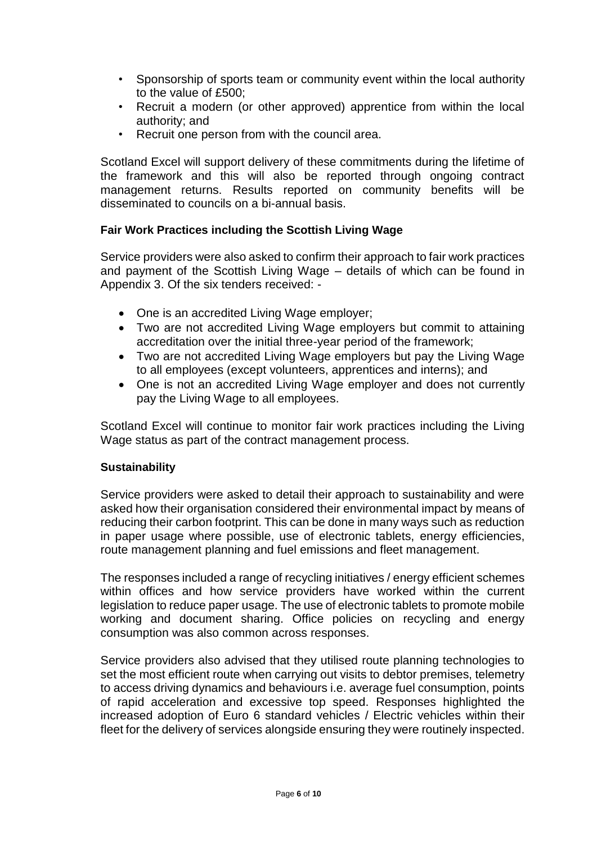- Sponsorship of sports team or community event within the local authority to the value of £500;
- Recruit a modern (or other approved) apprentice from within the local authority; and
- Recruit one person from with the council area.

Scotland Excel will support delivery of these commitments during the lifetime of the framework and this will also be reported through ongoing contract management returns. Results reported on community benefits will be disseminated to councils on a bi-annual basis.

# **Fair Work Practices including the Scottish Living Wage**

Service providers were also asked to confirm their approach to fair work practices and payment of the Scottish Living Wage – details of which can be found in Appendix 3. Of the six tenders received: -

- One is an accredited Living Wage employer;
- Two are not accredited Living Wage employers but commit to attaining accreditation over the initial three-year period of the framework;
- Two are not accredited Living Wage employers but pay the Living Wage to all employees (except volunteers, apprentices and interns); and
- One is not an accredited Living Wage employer and does not currently pay the Living Wage to all employees.

Scotland Excel will continue to monitor fair work practices including the Living Wage status as part of the contract management process.

# **Sustainability**

Service providers were asked to detail their approach to sustainability and were asked how their organisation considered their environmental impact by means of reducing their carbon footprint. This can be done in many ways such as reduction in paper usage where possible, use of electronic tablets, energy efficiencies, route management planning and fuel emissions and fleet management.

The responses included a range of recycling initiatives / energy efficient schemes within offices and how service providers have worked within the current legislation to reduce paper usage. The use of electronic tablets to promote mobile working and document sharing. Office policies on recycling and energy consumption was also common across responses.

Service providers also advised that they utilised route planning technologies to set the most efficient route when carrying out visits to debtor premises, telemetry to access driving dynamics and behaviours i.e. average fuel consumption, points of rapid acceleration and excessive top speed. Responses highlighted the increased adoption of Euro 6 standard vehicles / Electric vehicles within their fleet for the delivery of services alongside ensuring they were routinely inspected.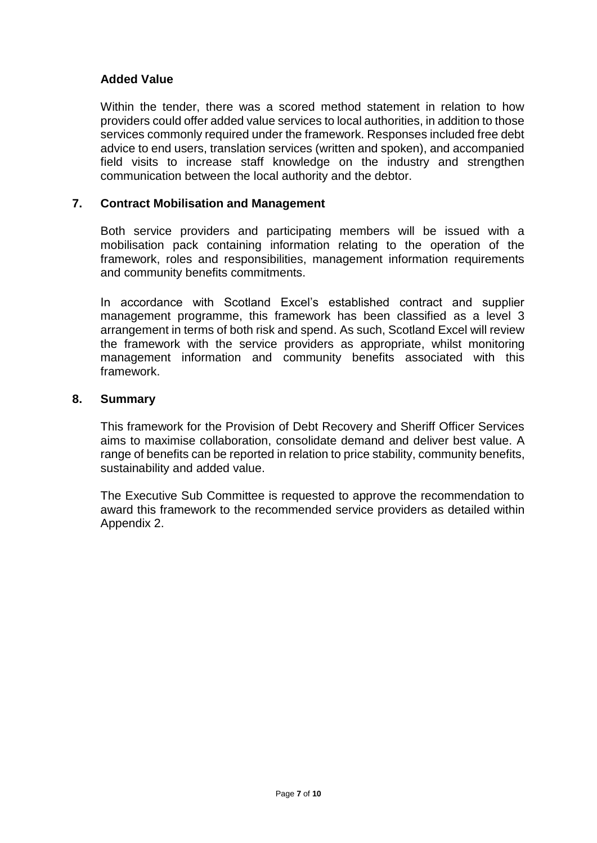# **Added Value**

Within the tender, there was a scored method statement in relation to how providers could offer added value services to local authorities, in addition to those services commonly required under the framework. Responses included free debt advice to end users, translation services (written and spoken), and accompanied field visits to increase staff knowledge on the industry and strengthen communication between the local authority and the debtor.

# **7. Contract Mobilisation and Management**

Both service providers and participating members will be issued with a mobilisation pack containing information relating to the operation of the framework, roles and responsibilities, management information requirements and community benefits commitments.

In accordance with Scotland Excel's established contract and supplier management programme, this framework has been classified as a level 3 arrangement in terms of both risk and spend. As such, Scotland Excel will review the framework with the service providers as appropriate, whilst monitoring management information and community benefits associated with this framework.

### **8. Summary**

This framework for the Provision of Debt Recovery and Sheriff Officer Services aims to maximise collaboration, consolidate demand and deliver best value. A range of benefits can be reported in relation to price stability, community benefits, sustainability and added value.

The Executive Sub Committee is requested to approve the recommendation to award this framework to the recommended service providers as detailed within Appendix 2.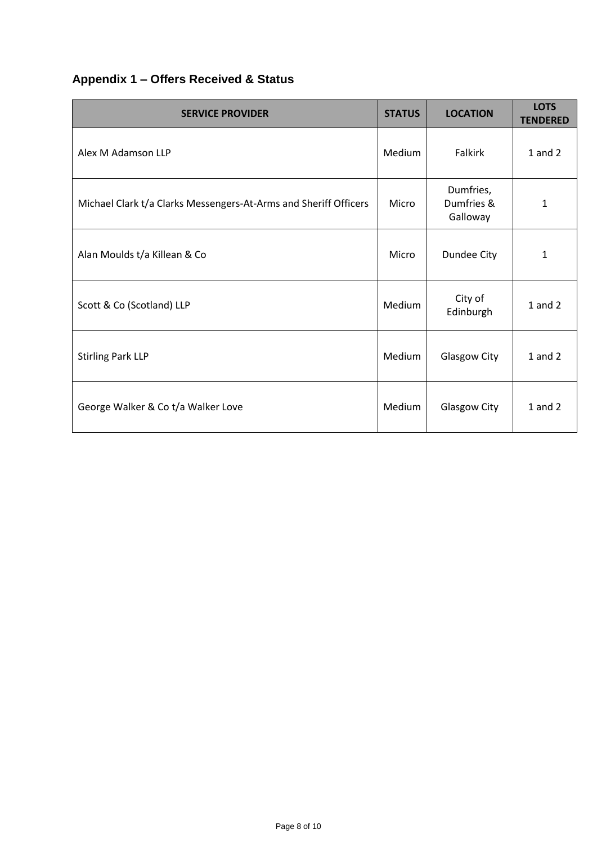# **Appendix 1 – Offers Received & Status**

| <b>SERVICE PROVIDER</b>                                          | <b>STATUS</b> | <b>LOCATION</b>                     | <b>LOTS</b><br><b>TENDERED</b> |
|------------------------------------------------------------------|---------------|-------------------------------------|--------------------------------|
| Alex M Adamson LLP                                               | <b>Medium</b> | <b>Falkirk</b>                      | $1$ and $2$                    |
| Michael Clark t/a Clarks Messengers-At-Arms and Sheriff Officers | Micro         | Dumfries,<br>Dumfries &<br>Galloway | 1                              |
| Alan Moulds t/a Killean & Co                                     | Micro         | Dundee City                         | $\mathbf{1}$                   |
| Scott & Co (Scotland) LLP                                        | Medium        | City of<br>Edinburgh                | $1$ and $2$                    |
| <b>Stirling Park LLP</b>                                         | <b>Medium</b> | Glasgow City                        | $1$ and $2$                    |
| George Walker & Co t/a Walker Love                               | Medium        | Glasgow City                        | $1$ and $2$                    |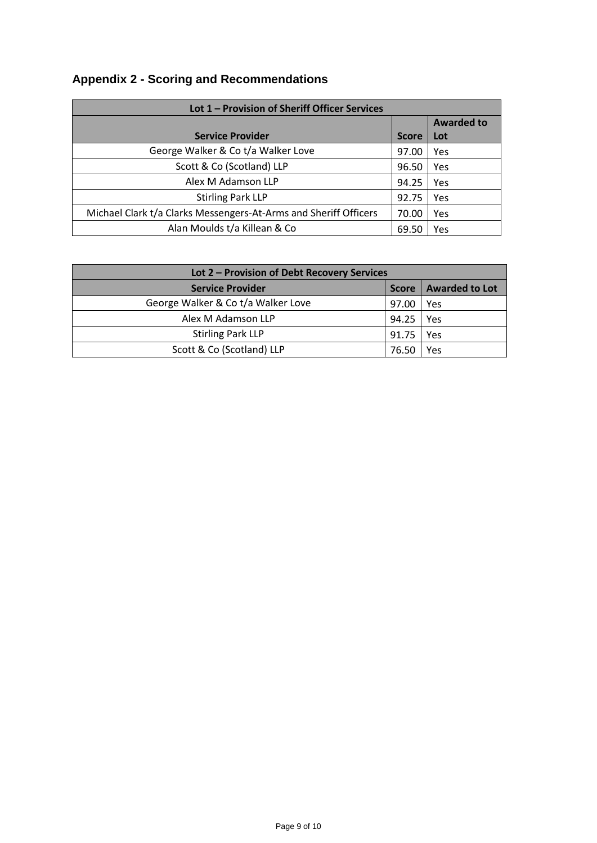# **Appendix 2 - Scoring and Recommendations**

| Lot 1 - Provision of Sheriff Officer Services                    |              |                   |  |
|------------------------------------------------------------------|--------------|-------------------|--|
|                                                                  |              | <b>Awarded to</b> |  |
| <b>Service Provider</b>                                          | <b>Score</b> | Lot               |  |
| George Walker & Co t/a Walker Love                               | 97.00        | Yes               |  |
| Scott & Co (Scotland) LLP                                        | 96.50        | Yes               |  |
| Alex M Adamson LLP                                               | 94.25        | Yes               |  |
| <b>Stirling Park LLP</b>                                         | 92.75        | Yes               |  |
| Michael Clark t/a Clarks Messengers-At-Arms and Sheriff Officers | 70.00        | Yes               |  |
| Alan Moulds t/a Killean & Co                                     | 69.50        | Yes               |  |

| Lot 2 - Provision of Debt Recovery Services |              |                       |  |
|---------------------------------------------|--------------|-----------------------|--|
| <b>Service Provider</b>                     | <b>Score</b> | <b>Awarded to Lot</b> |  |
| George Walker & Co t/a Walker Love          | 97.00        | Yes                   |  |
| Alex M Adamson LLP                          | 94.25        | Yes                   |  |
| <b>Stirling Park LLP</b>                    | 91.75        | Yes                   |  |
| Scott & Co (Scotland) LLP                   | 76.50        | Yes                   |  |